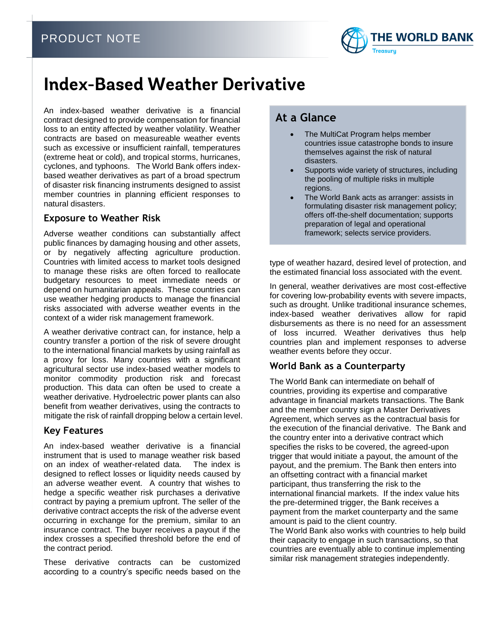

# **Index-Based Weather Derivative**

An index-based weather derivative is a financial contract designed to provide compensation for financial loss to an entity affected by weather volatility. Weather contracts are based on measureable weather events such as excessive or insufficient rainfall, temperatures (extreme heat or cold), and tropical storms, hurricanes, cyclones, and typhoons. The World Bank offers indexbased weather derivatives as part of a broad spectrum of disaster risk financing instruments designed to assist member countries in planning efficient responses to natural disasters.

#### **Exposure to Weather Risk**

Adverse weather conditions can substantially affect public finances by damaging housing and other assets, or by negatively affecting agriculture production. Countries with limited access to market tools designed to manage these risks are often forced to reallocate budgetary resources to meet immediate needs or depend on humanitarian appeals. These countries can use weather hedging products to manage the financial risks associated with adverse weather events in the context of a wider risk management framework.

A weather derivative contract can, for instance, help a country transfer a portion of the risk of severe drought to the international financial markets by using rainfall as a proxy for loss. Many countries with a significant agricultural sector use index-based weather models to monitor commodity production risk and forecast production. This data can often be used to create a weather derivative. Hydroelectric power plants can also benefit from weather derivatives, using the contracts to mitigate the risk of rainfall dropping below a certain level.

### **Key Features**

An index-based weather derivative is a financial instrument that is used to manage weather risk based on an index of weather-related data. The index is designed to reflect losses or liquidity needs caused by an adverse weather event. A country that wishes to hedge a specific weather risk purchases a derivative contract by paying a premium upfront. The seller of the derivative contract accepts the risk of the adverse event occurring in exchange for the premium, similar to an insurance contract. The buyer receives a payout if the index crosses a specified threshold before the end of the contract period.

These derivative contracts can be customized according to a country's specific needs based on the

# **At a Glance**

- The MultiCat Program helps member countries issue catastrophe bonds to insure themselves against the risk of natural disasters.
- Supports wide variety of structures, including the pooling of multiple risks in multiple regions.
- The World Bank acts as arranger: assists in formulating disaster risk management policy; offers off-the-shelf documentation; supports preparation of legal and operational framework; selects service providers.

type of weather hazard, desired level of protection, and the estimated financial loss associated with the event.

In general, weather derivatives are most cost-effective for covering low-probability events with severe impacts, such as drought. Unlike traditional insurance schemes, index-based weather derivatives allow for rapid disbursements as there is no need for an assessment of loss incurred. Weather derivatives thus help countries plan and implement responses to adverse weather events before they occur.

### **World Bank as a Counterparty**

The World Bank can intermediate on behalf of countries, providing its expertise and comparative advantage in financial markets transactions. The Bank and the member country sign a Master Derivatives Agreement, which serves as the contractual basis for the execution of the financial derivative. The Bank and the country enter into a derivative contract which specifies the risks to be covered, the agreed-upon trigger that would initiate a payout, the amount of the payout, and the premium. The Bank then enters into an offsetting contract with a financial market participant, thus transferring the risk to the international financial markets. If the index value hits the pre-determined trigger, the Bank receives a payment from the market counterparty and the same amount is paid to the client country.

The World Bank also works with countries to help build their capacity to engage in such transactions, so that countries are eventually able to continue implementing similar risk management strategies independently.